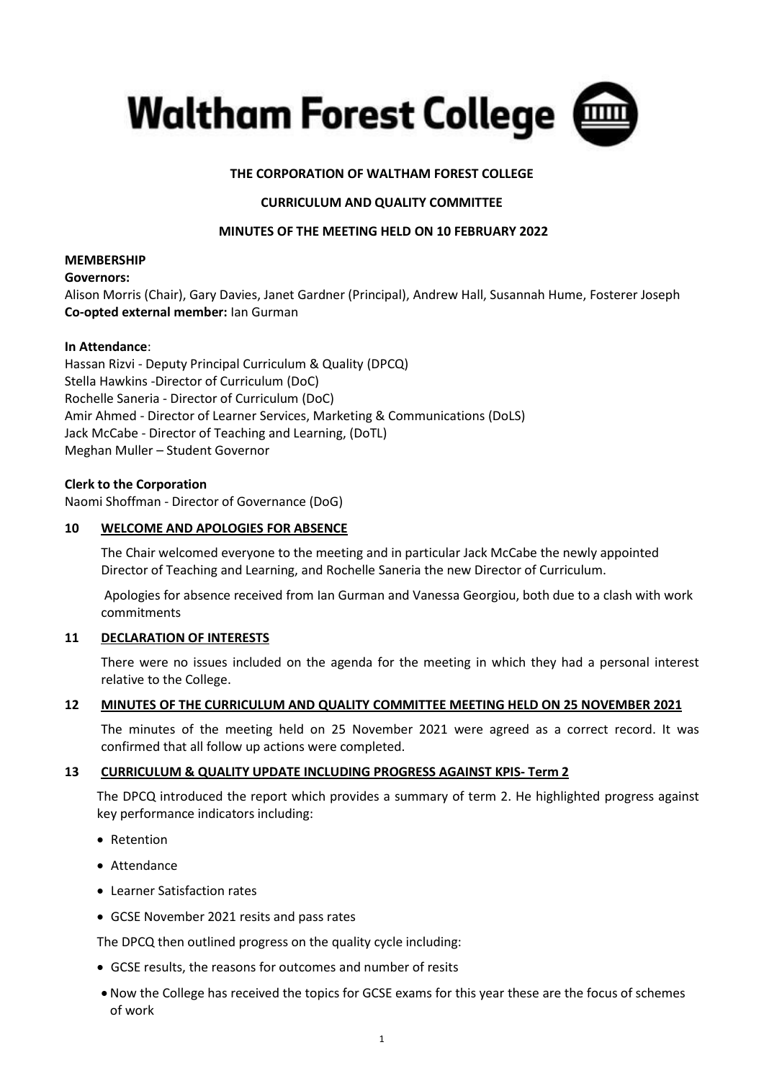

# **THE CORPORATION OF WALTHAM FOREST COLLEGE**

## **CURRICULUM AND QUALITY COMMITTEE**

## **MINUTES OF THE MEETING HELD ON 10 FEBRUARY 2022**

#### **MEMBERSHIP**

## **Governors:**

Alison Morris (Chair), Gary Davies, Janet Gardner (Principal), Andrew Hall, Susannah Hume, Fosterer Joseph **Co-opted external member:** Ian Gurman

## **In Attendance**:

Hassan Rizvi - Deputy Principal Curriculum & Quality (DPCQ) Stella Hawkins -Director of Curriculum (DoC) Rochelle Saneria - Director of Curriculum (DoC) Amir Ahmed - Director of Learner Services, Marketing & Communications (DoLS) Jack McCabe - Director of Teaching and Learning, (DoTL) Meghan Muller – Student Governor

## **Clerk to the Corporation**

Naomi Shoffman - Director of Governance (DoG)

## **10 WELCOME AND APOLOGIES FOR ABSENCE**

The Chair welcomed everyone to the meeting and in particular Jack McCabe the newly appointed Director of Teaching and Learning, and Rochelle Saneria the new Director of Curriculum.

Apologies for absence received from Ian Gurman and Vanessa Georgiou, both due to a clash with work commitments

## **11 DECLARATION OF INTERESTS**

There were no issues included on the agenda for the meeting in which they had a personal interest relative to the College.

#### **12 MINUTES OF THE CURRICULUM AND QUALITY COMMITTEE MEETING HELD ON 25 NOVEMBER 2021**

The minutes of the meeting held on 25 November 2021 were agreed as a correct record. It was confirmed that all follow up actions were completed.

## **13 CURRICULUM & QUALITY UPDATE INCLUDING PROGRESS AGAINST KPIS- Term 2**

The DPCQ introduced the report which provides a summary of term 2. He highlighted progress against key performance indicators including:

- Retention
- Attendance
- Learner Satisfaction rates
- GCSE November 2021 resits and pass rates

The DPCQ then outlined progress on the quality cycle including:

- GCSE results, the reasons for outcomes and number of resits
- Now the College has received the topics for GCSE exams for this year these are the focus of schemes of work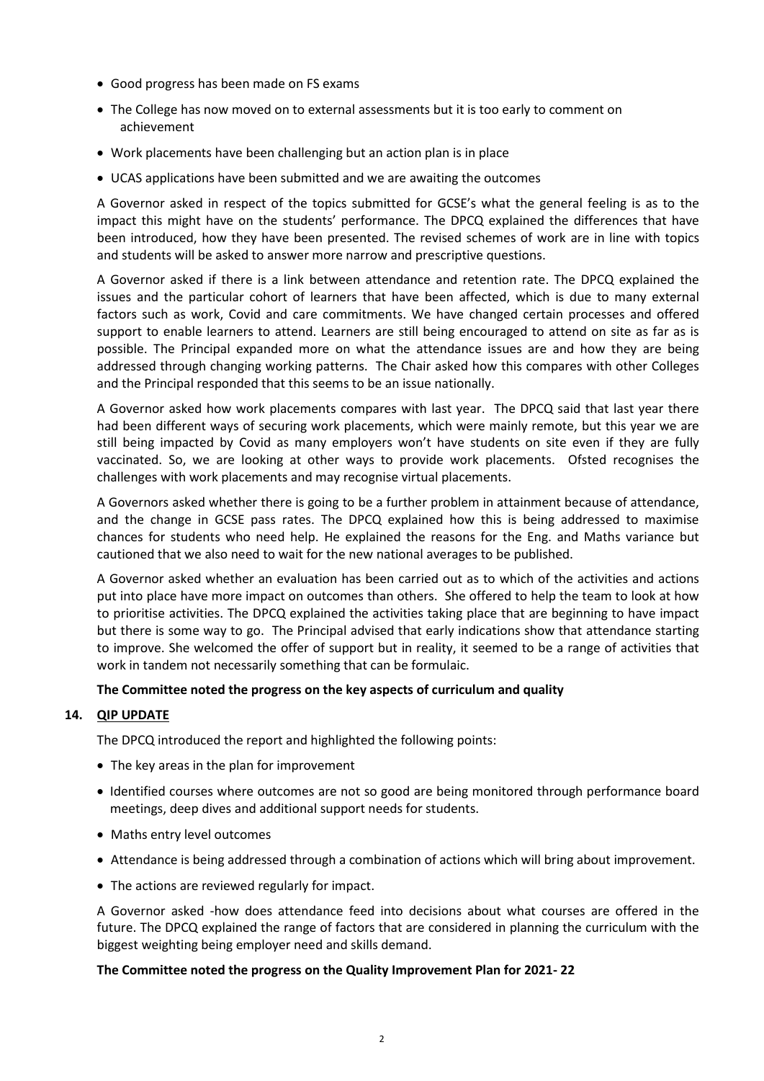- Good progress has been made on FS exams
- The College has now moved on to external assessments but it is too early to comment on achievement
- Work placements have been challenging but an action plan is in place
- UCAS applications have been submitted and we are awaiting the outcomes

A Governor asked in respect of the topics submitted for GCSE's what the general feeling is as to the impact this might have on the students' performance. The DPCQ explained the differences that have been introduced, how they have been presented. The revised schemes of work are in line with topics and students will be asked to answer more narrow and prescriptive questions.

A Governor asked if there is a link between attendance and retention rate. The DPCQ explained the issues and the particular cohort of learners that have been affected, which is due to many external factors such as work, Covid and care commitments. We have changed certain processes and offered support to enable learners to attend. Learners are still being encouraged to attend on site as far as is possible. The Principal expanded more on what the attendance issues are and how they are being addressed through changing working patterns. The Chair asked how this compares with other Colleges and the Principal responded that this seems to be an issue nationally.

A Governor asked how work placements compares with last year. The DPCQ said that last year there had been different ways of securing work placements, which were mainly remote, but this year we are still being impacted by Covid as many employers won't have students on site even if they are fully vaccinated. So, we are looking at other ways to provide work placements. Ofsted recognises the challenges with work placements and may recognise virtual placements.

A Governors asked whether there is going to be a further problem in attainment because of attendance, and the change in GCSE pass rates. The DPCQ explained how this is being addressed to maximise chances for students who need help. He explained the reasons for the Eng. and Maths variance but cautioned that we also need to wait for the new national averages to be published.

A Governor asked whether an evaluation has been carried out as to which of the activities and actions put into place have more impact on outcomes than others. She offered to help the team to look at how to prioritise activities. The DPCQ explained the activities taking place that are beginning to have impact but there is some way to go. The Principal advised that early indications show that attendance starting to improve. She welcomed the offer of support but in reality, it seemed to be a range of activities that work in tandem not necessarily something that can be formulaic.

# **The Committee noted the progress on the key aspects of curriculum and quality**

# **14. QIP UPDATE**

The DPCQ introduced the report and highlighted the following points:

- The key areas in the plan for improvement
- Identified courses where outcomes are not so good are being monitored through performance board meetings, deep dives and additional support needs for students.
- Maths entry level outcomes
- Attendance is being addressed through a combination of actions which will bring about improvement.
- The actions are reviewed regularly for impact.

A Governor asked -how does attendance feed into decisions about what courses are offered in the future. The DPCQ explained the range of factors that are considered in planning the curriculum with the biggest weighting being employer need and skills demand.

## **The Committee noted the progress on the Quality Improvement Plan for 2021- 22**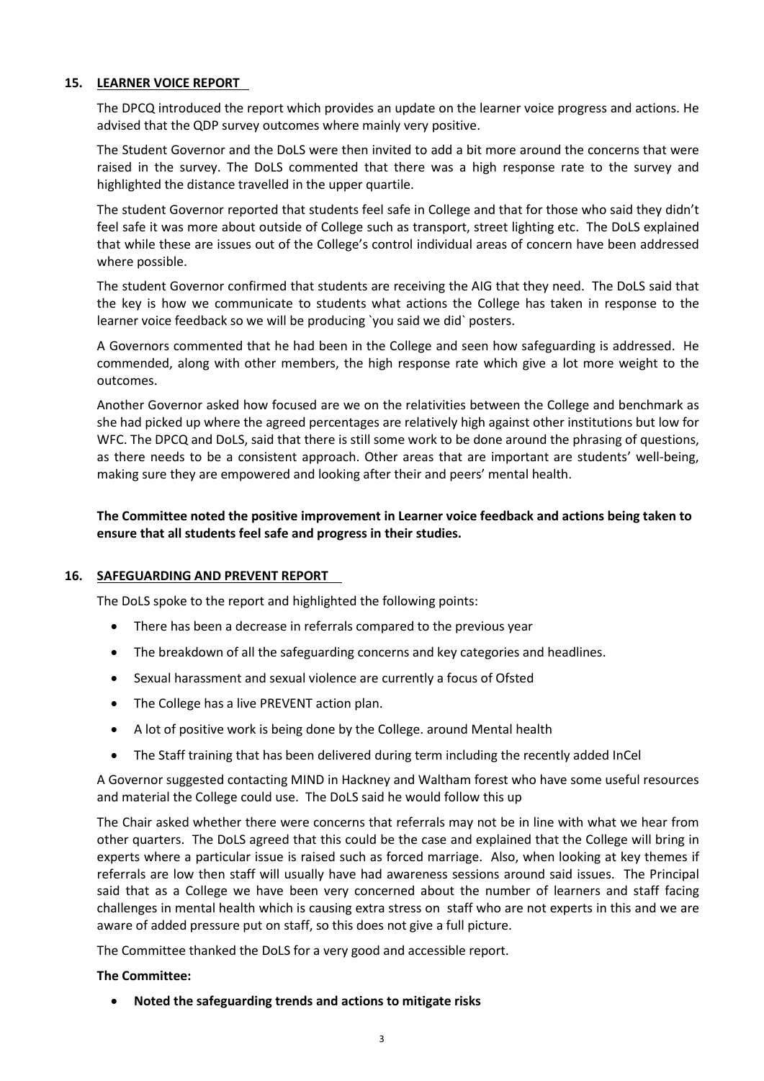# **15. LEARNER VOICE REPORT**

The DPCQ introduced the report which provides an update on the learner voice progress and actions. He advised that the QDP survey outcomes where mainly very positive.

The Student Governor and the DoLS were then invited to add a bit more around the concerns that were raised in the survey. The DoLS commented that there was a high response rate to the survey and highlighted the distance travelled in the upper quartile.

The student Governor reported that students feel safe in College and that for those who said they didn't feel safe it was more about outside of College such as transport, street lighting etc. The DoLS explained that while these are issues out of the College's control individual areas of concern have been addressed where possible.

The student Governor confirmed that students are receiving the AIG that they need. The DoLS said that the key is how we communicate to students what actions the College has taken in response to the learner voice feedback so we will be producing `you said we did` posters.

A Governors commented that he had been in the College and seen how safeguarding is addressed. He commended, along with other members, the high response rate which give a lot more weight to the outcomes.

Another Governor asked how focused are we on the relativities between the College and benchmark as she had picked up where the agreed percentages are relatively high against other institutions but low for WFC. The DPCQ and DoLS, said that there is still some work to be done around the phrasing of questions, as there needs to be a consistent approach. Other areas that are important are students' well-being, making sure they are empowered and looking after their and peers' mental health.

**The Committee noted the positive improvement in Learner voice feedback and actions being taken to ensure that all students feel safe and progress in their studies.**

## **16. SAFEGUARDING AND PREVENT REPORT**

The DoLS spoke to the report and highlighted the following points:

- There has been a decrease in referrals compared to the previous year
- The breakdown of all the safeguarding concerns and key categories and headlines.
- Sexual harassment and sexual violence are currently a focus of Ofsted
- The College has a live PREVENT action plan.
- A lot of positive work is being done by the College. around Mental health
- The Staff training that has been delivered during term including the recently added InCel

A Governor suggested contacting MIND in Hackney and Waltham forest who have some useful resources and material the College could use. The DoLS said he would follow this up

The Chair asked whether there were concerns that referrals may not be in line with what we hear from other quarters. The DoLS agreed that this could be the case and explained that the College will bring in experts where a particular issue is raised such as forced marriage. Also, when looking at key themes if referrals are low then staff will usually have had awareness sessions around said issues. The Principal said that as a College we have been very concerned about the number of learners and staff facing challenges in mental health which is causing extra stress on staff who are not experts in this and we are aware of added pressure put on staff, so this does not give a full picture.

The Committee thanked the DoLS for a very good and accessible report.

#### **The Committee:**

• **Noted the safeguarding trends and actions to mitigate risks**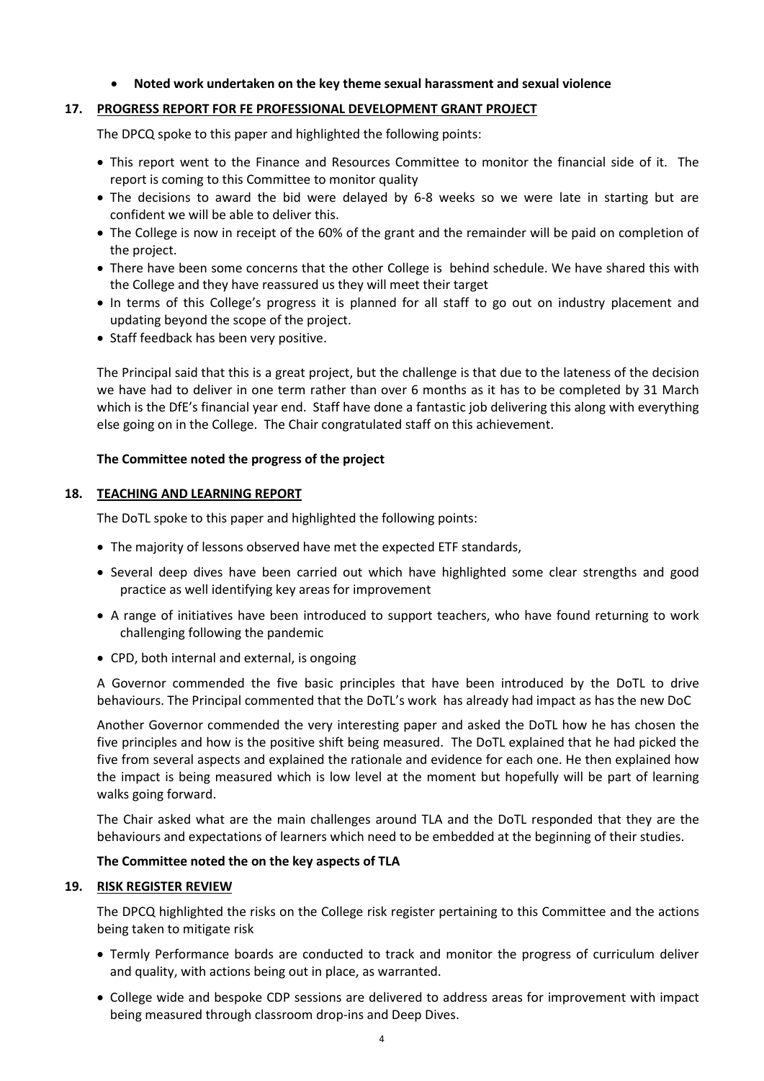## • **Noted work undertaken on the key theme sexual harassment and sexual violence**

## **17. PROGRESS REPORT FOR FE PROFESSIONAL DEVELOPMENT GRANT PROJECT**

The DPCQ spoke to this paper and highlighted the following points:

- This report went to the Finance and Resources Committee to monitor the financial side of it. The report is coming to this Committee to monitor quality
- The decisions to award the bid were delayed by 6-8 weeks so we were late in starting but are confident we will be able to deliver this.
- The College is now in receipt of the 60% of the grant and the remainder will be paid on completion of the project.
- There have been some concerns that the other College is behind schedule. We have shared this with the College and they have reassured us they will meet their target
- In terms of this College's progress it is planned for all staff to go out on industry placement and updating beyond the scope of the project.
- Staff feedback has been very positive.

The Principal said that this is a great project, but the challenge is that due to the lateness of the decision we have had to deliver in one term rather than over 6 months as it has to be completed by 31 March which is the DfE's financial year end. Staff have done a fantastic job delivering this along with everything else going on in the College. The Chair congratulated staff on this achievement.

## **The Committee noted the progress of the project**

#### **18. TEACHING AND LEARNING REPORT**

The DoTL spoke to this paper and highlighted the following points:

- The majority of lessons observed have met the expected ETF standards,
- Several deep dives have been carried out which have highlighted some clear strengths and good practice as well identifying key areas for improvement
- A range of initiatives have been introduced to support teachers, who have found returning to work challenging following the pandemic
- CPD, both internal and external, is ongoing

A Governor commended the five basic principles that have been introduced by the DoTL to drive behaviours. The Principal commented that the DoTL's work has already had impact as has the new DoC

Another Governor commended the very interesting paper and asked the DoTL how he has chosen the five principles and how is the positive shift being measured. The DoTL explained that he had picked the five from several aspects and explained the rationale and evidence for each one. He then explained how the impact is being measured which is low level at the moment but hopefully will be part of learning walks going forward.

The Chair asked what are the main challenges around TLA and the DoTL responded that they are the behaviours and expectations of learners which need to be embedded at the beginning of their studies.

#### **The Committee noted the on the key aspects of TLA**

#### **19. RISK REGISTER REVIEW**

The DPCQ highlighted the risks on the College risk register pertaining to this Committee and the actions being taken to mitigate risk

- Termly Performance boards are conducted to track and monitor the progress of curriculum deliver and quality, with actions being out in place, as warranted.
- College wide and bespoke CDP sessions are delivered to address areas for improvement with impact being measured through classroom drop-ins and Deep Dives.